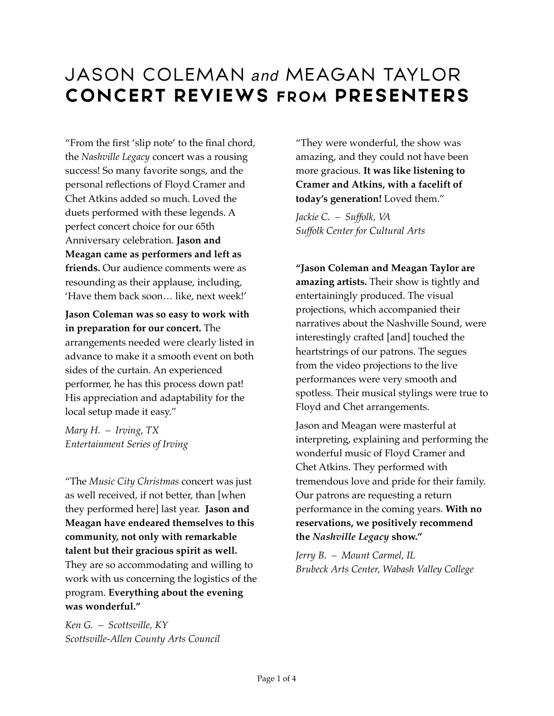"From the first 'slip note' to the final chord, the *Nashville Legacy* concert was a rousing success! So many favorite songs, and the personal reflections of Floyd Cramer and Chet Atkins added so much. Loved the duets performed with these legends. A perfect concert choice for our 65th Anniversary celebration. **Jason and Meagan came as performers and left as friends.** Our audience comments were as resounding as their applause, including, 'Have them back soon… like, next week!'

**Jason Coleman was so easy to work with in preparation for our concert.** The arrangements needed were clearly listed in advance to make it a smooth event on both sides of the curtain. An experienced performer, he has this process down pat! His appreciation and adaptability for the local setup made it easy."

*Mary H. – Irving, TX Entertainment Series of Irving* 

"The *Music City Christmas* concert was just as well received, if not better, than [when they performed here] last year. **Jason and Meagan have endeared themselves to this community, not only with remarkable talent but their gracious spirit as well.** They are so accommodating and willing to work with us concerning the logistics of the program. **Everything about the evening was wonderful."**

*Ken G. – Scottsville, KY Scottsville-Allen County Arts Council* 

"They were wonderful, the show was amazing, and they could not have been more gracious. **It was like listening to Cramer and Atkins, with a facelift of today's generation!** Loved them."

*Jackie C. – Suffolk, VA Suffolk Center for Cultural Arts* 

**"Jason Coleman and Meagan Taylor are amazing artists.** Their show is tightly and entertainingly produced. The visual projections, which accompanied their narratives about the Nashville Sound, were interestingly crafted [and] touched the heartstrings of our patrons. The segues from the video projections to the live performances were very smooth and spotless. Their musical stylings were true to Floyd and Chet arrangements.

Jason and Meagan were masterful at interpreting, explaining and performing the wonderful music of Floyd Cramer and Chet Atkins. They performed with tremendous love and pride for their family. Our patrons are requesting a return performance in the coming years. **With no reservations, we positively recommend the** *Nashville Legacy* **show."**

*Jerry B. – Mount Carmel, IL Brubeck Arts Center, Wabash Valley College*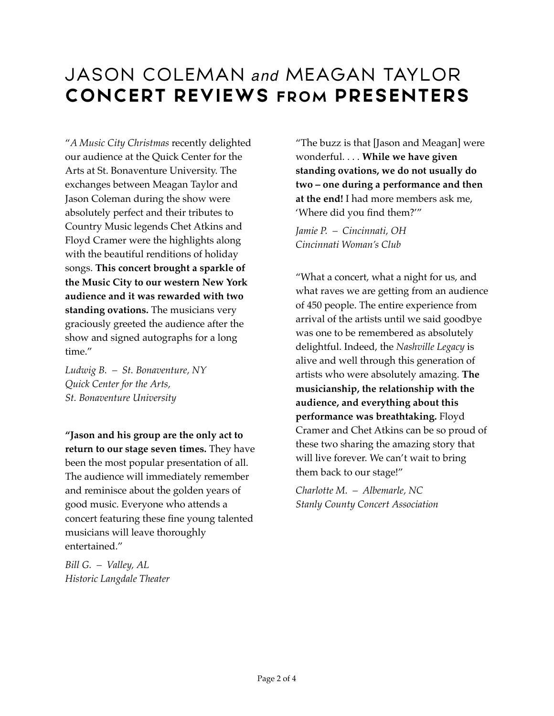"*A Music City Christmas* recently delighted our audience at the Quick Center for the Arts at St. Bonaventure University. The exchanges between Meagan Taylor and Jason Coleman during the show were absolutely perfect and their tributes to Country Music legends Chet Atkins and Floyd Cramer were the highlights along with the beautiful renditions of holiday songs. **This concert brought a sparkle of the Music City to our western New York audience and it was rewarded with two standing ovations.** The musicians very graciously greeted the audience after the show and signed autographs for a long time."

*Ludwig B. – St. Bonaventure, NY Quick Center for the Arts, St. Bonaventure University* 

**"Jason and his group are the only act to return to our stage seven times.** They have been the most popular presentation of all. The audience will immediately remember and reminisce about the golden years of good music. Everyone who attends a concert featuring these fine young talented musicians will leave thoroughly entertained."

*Bill G. – Valley, AL Historic Langdale Theater* 

"The buzz is that [Jason and Meagan] were wonderful. . . . **While we have given standing ovations, we do not usually do two – one during a performance and then at the end!** I had more members ask me, 'Where did you find them?'"

*Jamie P. – Cincinnati, OH Cincinnati Woman's Club*

"What a concert, what a night for us, and what raves we are getting from an audience of 450 people. The entire experience from arrival of the artists until we said goodbye was one to be remembered as absolutely delightful. Indeed, the *Nashville Legacy* is alive and well through this generation of artists who were absolutely amazing. **The musicianship, the relationship with the audience, and everything about this performance was breathtaking.** Floyd Cramer and Chet Atkins can be so proud of these two sharing the amazing story that will live forever. We can't wait to bring them back to our stage!"

*Charlotte M. – Albemarle, NC Stanly County Concert Association*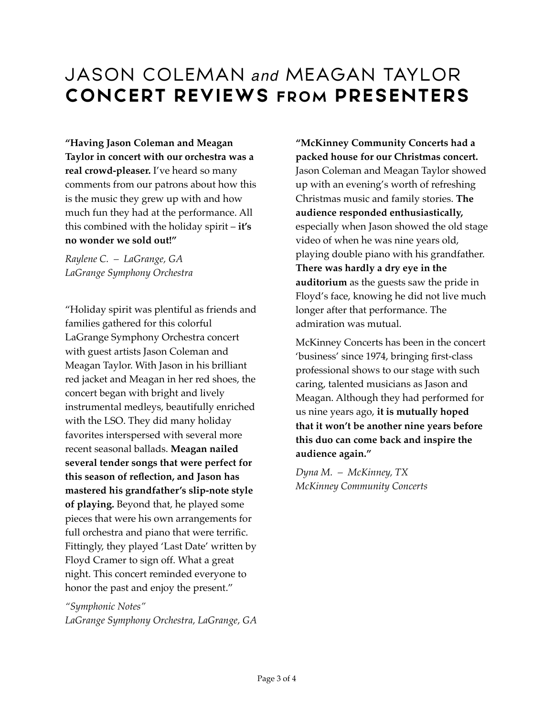**"Having Jason Coleman and Meagan Taylor in concert with our orchestra was a real crowd-pleaser.** I've heard so many comments from our patrons about how this is the music they grew up with and how much fun they had at the performance. All this combined with the holiday spirit – **it's no wonder we sold out!"**

*Raylene C. – LaGrange, GA LaGrange Symphony Orchestra* 

"Holiday spirit was plentiful as friends and families gathered for this colorful LaGrange Symphony Orchestra concert with guest artists Jason Coleman and Meagan Taylor. With Jason in his brilliant red jacket and Meagan in her red shoes, the concert began with bright and lively instrumental medleys, beautifully enriched with the LSO. They did many holiday favorites interspersed with several more recent seasonal ballads. **Meagan nailed several tender songs that were perfect for this season of reflection, and Jason has mastered his grandfather's slip-note style of playing.** Beyond that, he played some pieces that were his own arrangements for full orchestra and piano that were terrific. Fittingly, they played 'Last Date' written by Floyd Cramer to sign off. What a great night. This concert reminded everyone to honor the past and enjoy the present."

*"Symphonic Notes" LaGrange Symphony Orchestra, LaGrange, GA*  **"McKinney Community Concerts had a packed house for our Christmas concert.** Jason Coleman and Meagan Taylor showed up with an evening's worth of refreshing Christmas music and family stories. **The audience responded enthusiastically,** especially when Jason showed the old stage video of when he was nine years old, playing double piano with his grandfather. **There was hardly a dry eye in the auditorium** as the guests saw the pride in Floyd's face, knowing he did not live much longer after that performance. The admiration was mutual.

McKinney Concerts has been in the concert 'business' since 1974, bringing first-class professional shows to our stage with such caring, talented musicians as Jason and Meagan. Although they had performed for us nine years ago, **it is mutually hoped that it won't be another nine years before this duo can come back and inspire the audience again."**

*Dyna M. – McKinney, TX McKinney Community Concerts*